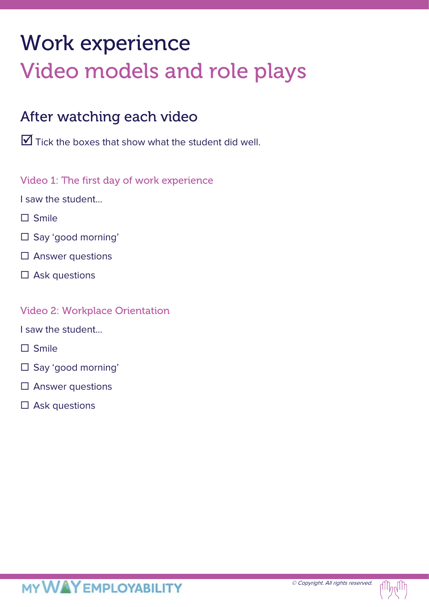# Work experience Video models and role plays

## After watching each video

 $\overline{\mathbf{y}}$  Tick the boxes that show what the student did well.

Video 1: The first day of work experience

I saw the student…

- $\Box$  Smile
- □ Say 'good morning'
- $\square$  Answer questions
- $\square$  Ask questions

#### Video 2: Workplace Orientation

I saw the student…

- $\Box$  Smile
- □ Say 'good morning'
- $\square$  Answer questions
- $\square$  Ask questions